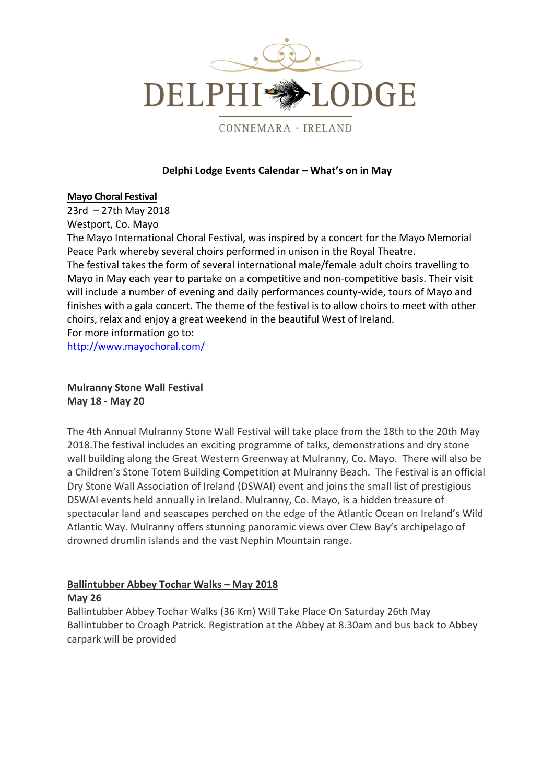

CONNEMARA · IRELAND

## **Delphi Lodge Events Calendar – What's on in May**

#### **Mayo Choral Festival**

 $23rd - 27th$  May 2018 Westport, Co. Mayo

The Mayo International Choral Festival, was inspired by a concert for the Mayo Memorial Peace Park whereby several choirs performed in unison in the Royal Theatre.

The festival takes the form of several international male/female adult choirs travelling to Mayo in May each year to partake on a competitive and non-competitive basis. Their visit will include a number of evening and daily performances county-wide, tours of Mayo and finishes with a gala concert. The theme of the festival is to allow choirs to meet with other choirs, relax and enjoy a great weekend in the beautiful West of Ireland.

For more information go to:

http://www.mayochoral.com/

## **Mulranny Stone Wall Festival May 18 - May 20**

The 4th Annual Mulranny Stone Wall Festival will take place from the 18th to the 20th May 2018. The festival includes an exciting programme of talks, demonstrations and dry stone wall building along the Great Western Greenway at Mulranny, Co. Mayo. There will also be a Children's Stone Totem Building Competition at Mulranny Beach. The Festival is an official Dry Stone Wall Association of Ireland (DSWAI) event and joins the small list of prestigious DSWAI events held annually in Ireland. Mulranny, Co. Mayo, is a hidden treasure of spectacular land and seascapes perched on the edge of the Atlantic Ocean on Ireland's Wild Atlantic Way. Mulranny offers stunning panoramic views over Clew Bay's archipelago of drowned drumlin islands and the vast Nephin Mountain range.

# **Ballintubber Abbey Tochar Walks – May 2018**

#### **May 26**

Ballintubber Abbey Tochar Walks (36 Km) Will Take Place On Saturday 26th May Ballintubber to Croagh Patrick. Registration at the Abbey at 8.30am and bus back to Abbey carpark will be provided